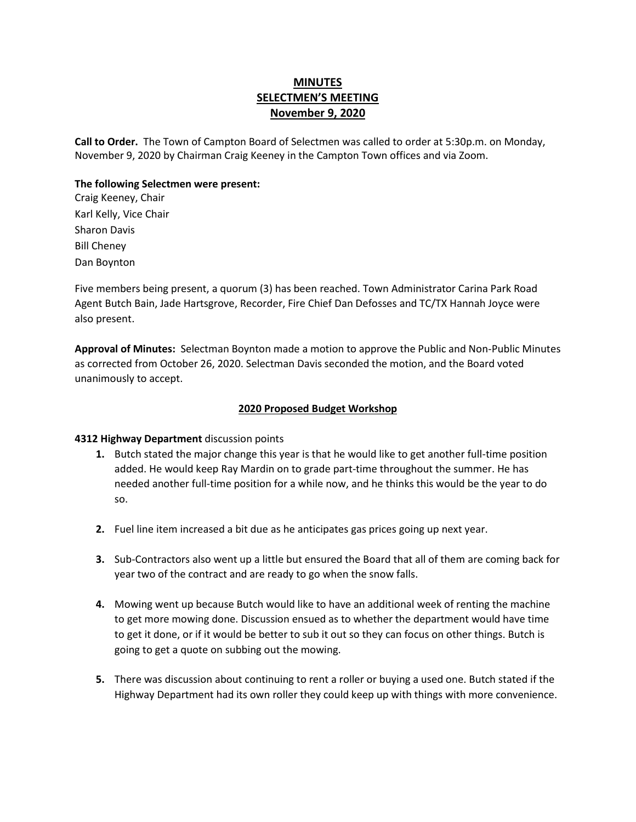## **MINUTES SELECTMEN'S MEETING November 9, 2020**

**Call to Order.** The Town of Campton Board of Selectmen was called to order at 5:30p.m. on Monday, November 9, 2020 by Chairman Craig Keeney in the Campton Town offices and via Zoom.

#### **The following Selectmen were present:**

Craig Keeney, Chair Karl Kelly, Vice Chair Sharon Davis Bill Cheney Dan Boynton

Five members being present, a quorum (3) has been reached. Town Administrator Carina Park Road Agent Butch Bain, Jade Hartsgrove, Recorder, Fire Chief Dan Defosses and TC/TX Hannah Joyce were also present.

**Approval of Minutes:** Selectman Boynton made a motion to approve the Public and Non-Public Minutes as corrected from October 26, 2020. Selectman Davis seconded the motion, and the Board voted unanimously to accept.

#### **2020 Proposed Budget Workshop**

#### **4312 Highway Department** discussion points

- **1.** Butch stated the major change this year is that he would like to get another full-time position added. He would keep Ray Mardin on to grade part-time throughout the summer. He has needed another full-time position for a while now, and he thinks this would be the year to do so.
- **2.** Fuel line item increased a bit due as he anticipates gas prices going up next year.
- **3.** Sub-Contractors also went up a little but ensured the Board that all of them are coming back for year two of the contract and are ready to go when the snow falls.
- **4.** Mowing went up because Butch would like to have an additional week of renting the machine to get more mowing done. Discussion ensued as to whether the department would have time to get it done, or if it would be better to sub it out so they can focus on other things. Butch is going to get a quote on subbing out the mowing.
- **5.** There was discussion about continuing to rent a roller or buying a used one. Butch stated if the Highway Department had its own roller they could keep up with things with more convenience.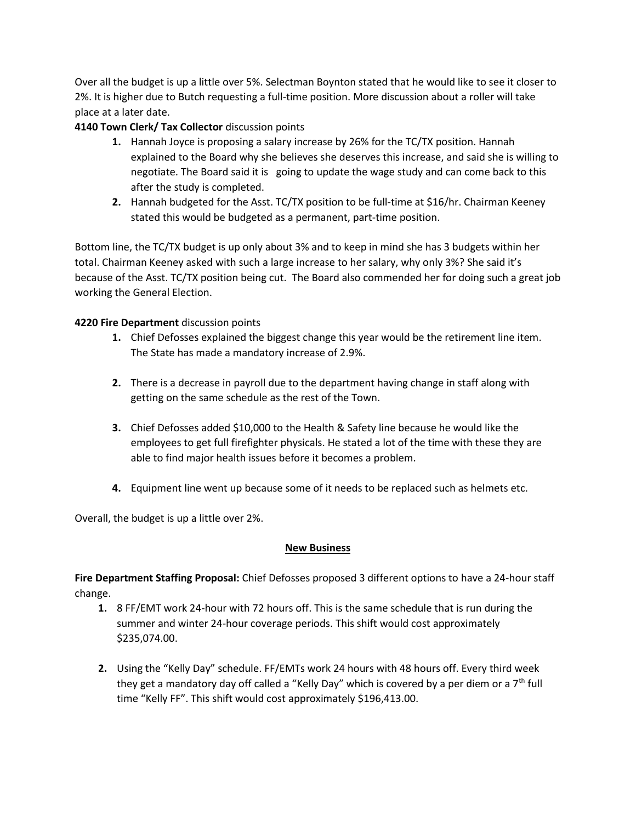Over all the budget is up a little over 5%. Selectman Boynton stated that he would like to see it closer to 2%. It is higher due to Butch requesting a full-time position. More discussion about a roller will take place at a later date.

### **4140 Town Clerk/ Tax Collector** discussion points

- **1.** Hannah Joyce is proposing a salary increase by 26% for the TC/TX position. Hannah explained to the Board why she believes she deserves this increase, and said she is willing to negotiate. The Board said it is going to update the wage study and can come back to this after the study is completed.
- **2.** Hannah budgeted for the Asst. TC/TX position to be full-time at \$16/hr. Chairman Keeney stated this would be budgeted as a permanent, part-time position.

Bottom line, the TC/TX budget is up only about 3% and to keep in mind she has 3 budgets within her total. Chairman Keeney asked with such a large increase to her salary, why only 3%? She said it's because of the Asst. TC/TX position being cut. The Board also commended her for doing such a great job working the General Election.

### **4220 Fire Department** discussion points

- **1.** Chief Defosses explained the biggest change this year would be the retirement line item. The State has made a mandatory increase of 2.9%.
- **2.** There is a decrease in payroll due to the department having change in staff along with getting on the same schedule as the rest of the Town.
- **3.** Chief Defosses added \$10,000 to the Health & Safety line because he would like the employees to get full firefighter physicals. He stated a lot of the time with these they are able to find major health issues before it becomes a problem.
- **4.** Equipment line went up because some of it needs to be replaced such as helmets etc.

Overall, the budget is up a little over 2%.

### **New Business**

**Fire Department Staffing Proposal:** Chief Defosses proposed 3 different options to have a 24-hour staff change.

- **1.** 8 FF/EMT work 24-hour with 72 hours off. This is the same schedule that is run during the summer and winter 24-hour coverage periods. This shift would cost approximately \$235,074.00.
- **2.** Using the "Kelly Day" schedule. FF/EMTs work 24 hours with 48 hours off. Every third week they get a mandatory day off called a "Kelly Day" which is covered by a per diem or a  $7<sup>th</sup>$  full time "Kelly FF". This shift would cost approximately \$196,413.00.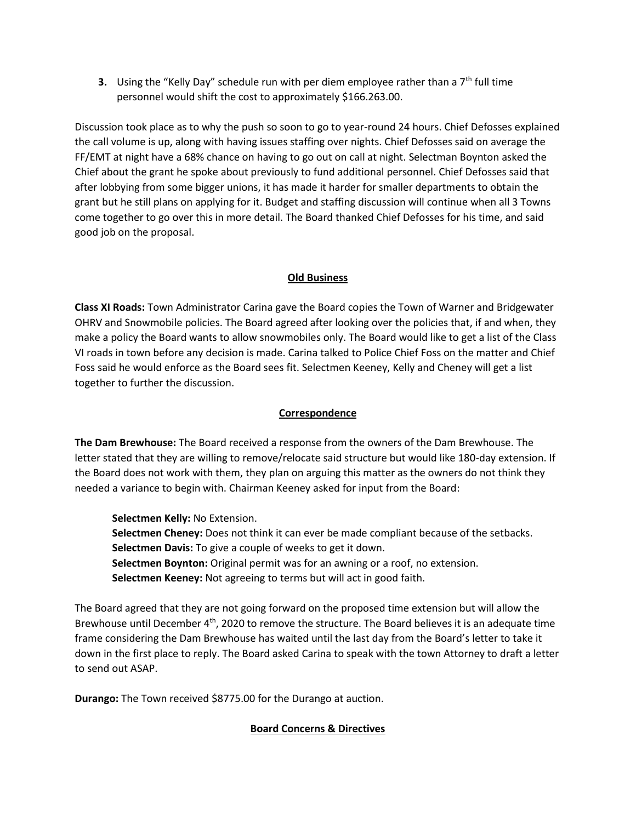**3.** Using the "Kelly Day" schedule run with per diem employee rather than a  $7<sup>th</sup>$  full time personnel would shift the cost to approximately \$166.263.00.

Discussion took place as to why the push so soon to go to year-round 24 hours. Chief Defosses explained the call volume is up, along with having issues staffing over nights. Chief Defosses said on average the FF/EMT at night have a 68% chance on having to go out on call at night. Selectman Boynton asked the Chief about the grant he spoke about previously to fund additional personnel. Chief Defosses said that after lobbying from some bigger unions, it has made it harder for smaller departments to obtain the grant but he still plans on applying for it. Budget and staffing discussion will continue when all 3 Towns come together to go over this in more detail. The Board thanked Chief Defosses for his time, and said good job on the proposal.

### **Old Business**

**Class XI Roads:** Town Administrator Carina gave the Board copies the Town of Warner and Bridgewater OHRV and Snowmobile policies. The Board agreed after looking over the policies that, if and when, they make a policy the Board wants to allow snowmobiles only. The Board would like to get a list of the Class VI roads in town before any decision is made. Carina talked to Police Chief Foss on the matter and Chief Foss said he would enforce as the Board sees fit. Selectmen Keeney, Kelly and Cheney will get a list together to further the discussion.

### **Correspondence**

**The Dam Brewhouse:** The Board received a response from the owners of the Dam Brewhouse. The letter stated that they are willing to remove/relocate said structure but would like 180-day extension. If the Board does not work with them, they plan on arguing this matter as the owners do not think they needed a variance to begin with. Chairman Keeney asked for input from the Board:

**Selectmen Kelly:** No Extension.

**Selectmen Cheney:** Does not think it can ever be made compliant because of the setbacks. **Selectmen Davis:** To give a couple of weeks to get it down. **Selectmen Boynton:** Original permit was for an awning or a roof, no extension. **Selectmen Keeney:** Not agreeing to terms but will act in good faith.

The Board agreed that they are not going forward on the proposed time extension but will allow the Brewhouse until December 4<sup>th</sup>, 2020 to remove the structure. The Board believes it is an adequate time frame considering the Dam Brewhouse has waited until the last day from the Board's letter to take it down in the first place to reply. The Board asked Carina to speak with the town Attorney to draft a letter to send out ASAP.

**Durango:** The Town received \$8775.00 for the Durango at auction.

### **Board Concerns & Directives**